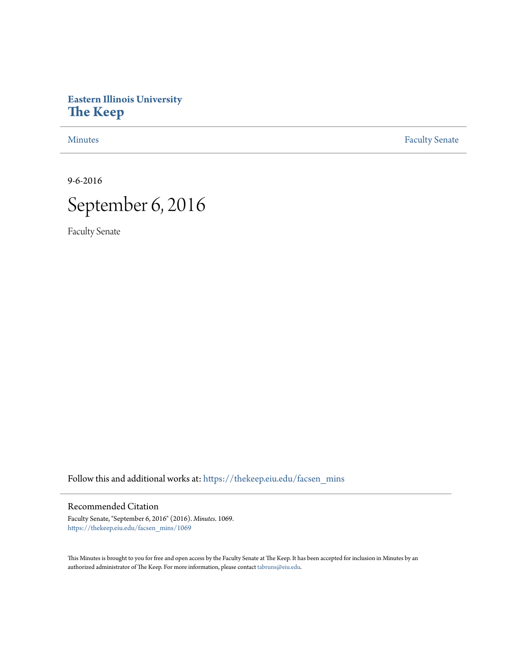# **Eastern Illinois University [The Keep](https://thekeep.eiu.edu?utm_source=thekeep.eiu.edu%2Ffacsen_mins%2F1069&utm_medium=PDF&utm_campaign=PDFCoverPages)**

[Minutes](https://thekeep.eiu.edu/facsen_mins?utm_source=thekeep.eiu.edu%2Ffacsen_mins%2F1069&utm_medium=PDF&utm_campaign=PDFCoverPages) **[Faculty Senate](https://thekeep.eiu.edu/fac_senate?utm_source=thekeep.eiu.edu%2Ffacsen_mins%2F1069&utm_medium=PDF&utm_campaign=PDFCoverPages)** 

9-6-2016



Faculty Senate

Follow this and additional works at: [https://thekeep.eiu.edu/facsen\\_mins](https://thekeep.eiu.edu/facsen_mins?utm_source=thekeep.eiu.edu%2Ffacsen_mins%2F1069&utm_medium=PDF&utm_campaign=PDFCoverPages)

## Recommended Citation

Faculty Senate, "September 6, 2016" (2016). *Minutes*. 1069. [https://thekeep.eiu.edu/facsen\\_mins/1069](https://thekeep.eiu.edu/facsen_mins/1069?utm_source=thekeep.eiu.edu%2Ffacsen_mins%2F1069&utm_medium=PDF&utm_campaign=PDFCoverPages)

This Minutes is brought to you for free and open access by the Faculty Senate at The Keep. It has been accepted for inclusion in Minutes by an authorized administrator of The Keep. For more information, please contact [tabruns@eiu.edu](mailto:tabruns@eiu.edu).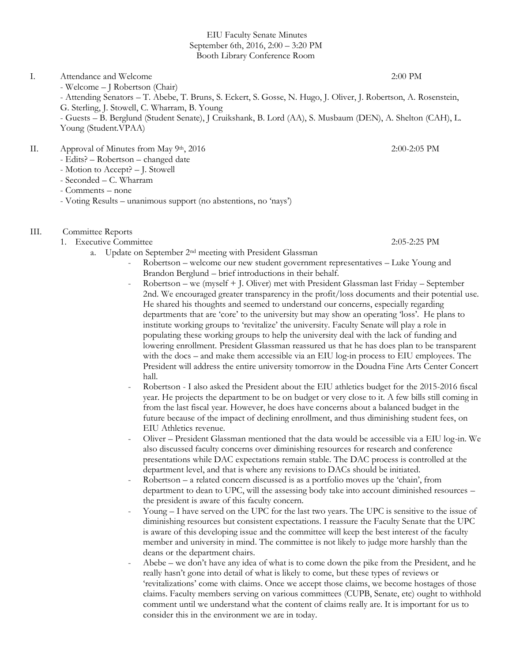### EIU Faculty Senate Minutes September 6th, 2016, 2:00 – 3:20 PM Booth Library Conference Room

I. Attendance and Welcome 2:00 PM - Welcome – J Robertson (Chair) - Attending Senators – T. Abebe, T. Bruns, S. Eckert, S. Gosse, N. Hugo, J. Oliver, J. Robertson, A. Rosenstein, G. Sterling, J. Stowell, C. Wharram, B. Young - Guests – B. Berglund (Student Senate), J Cruikshank, B. Lord (AA), S. Musbaum (DEN), A. Shelton (CAH), L.

- II. Approval of Minutes from May 9<sup>th</sup>, 2016 2:00-2:05 PM
	- Edits? Robertson changed date
	- Motion to Accept? J. Stowell
	- Seconded C. Wharram

Young (Student.VPAA)

- Comments none
- Voting Results unanimous support (no abstentions, no 'nays')
- III. Committee Reports
	- 1. Executive Committee 2:05-2:25 PM
		- a. Update on September 2nd meeting with President Glassman
			- Robertson welcome our new student government representatives Luke Young and Brandon Berglund – brief introductions in their behalf.
			- Robertson we (myself + J. Oliver) met with President Glassman last Friday September 2nd. We encouraged greater transparency in the profit/loss documents and their potential use. He shared his thoughts and seemed to understand our concerns, especially regarding departments that are 'core' to the university but may show an operating 'loss'. He plans to institute working groups to 'revitalize' the university. Faculty Senate will play a role in populating these working groups to help the university deal with the lack of funding and lowering enrollment. President Glassman reassured us that he has does plan to be transparent with the docs – and make them accessible via an EIU log-in process to EIU employees. The President will address the entire university tomorrow in the Doudna Fine Arts Center Concert hall.
			- Robertson I also asked the President about the EIU athletics budget for the 2015-2016 fiscal year. He projects the department to be on budget or very close to it. A few bills still coming in from the last fiscal year. However, he does have concerns about a balanced budget in the future because of the impact of declining enrollment, and thus diminishing student fees, on EIU Athletics revenue.
			- Oliver President Glassman mentioned that the data would be accessible via a EIU log-in. We also discussed faculty concerns over diminishing resources for research and conference presentations while DAC expectations remain stable. The DAC process is controlled at the department level, and that is where any revisions to DACs should be initiated.
			- $Robertson a related concern discussed is as a portfolio moves up the 'chain', from$ department to dean to UPC, will the assessing body take into account diminished resources – the president is aware of this faculty concern.
			- Young I have served on the UPC for the last two years. The UPC is sensitive to the issue of diminishing resources but consistent expectations. I reassure the Faculty Senate that the UPC is aware of this developing issue and the committee will keep the best interest of the faculty member and university in mind. The committee is not likely to judge more harshly than the deans or the department chairs.
			- Abebe we don't have any idea of what is to come down the pike from the President, and he really hasn't gone into detail of what is likely to come, but these types of reviews or 'revitalizations' come with claims. Once we accept those claims, we become hostages of those claims. Faculty members serving on various committees (CUPB, Senate, etc) ought to withhold comment until we understand what the content of claims really are. It is important for us to consider this in the environment we are in today.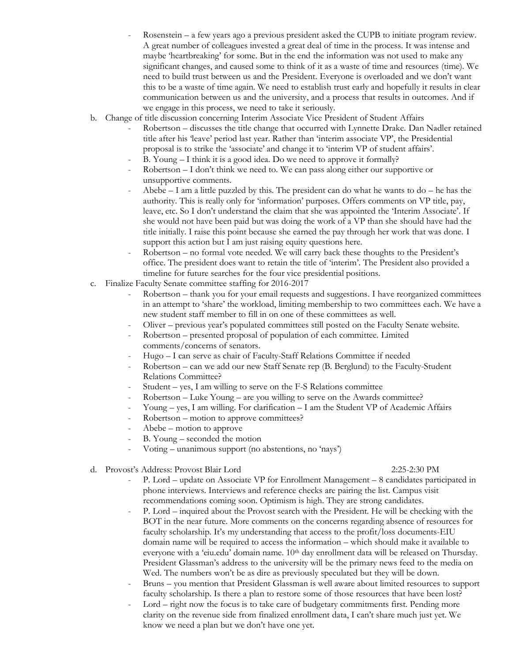- Rosenstein a few years ago a previous president asked the CUPB to initiate program review. A great number of colleagues invested a great deal of time in the process. It was intense and maybe 'heartbreaking' for some. But in the end the information was not used to make any significant changes, and caused some to think of it as a waste of time and resources (time). We need to build trust between us and the President. Everyone is overloaded and we don't want this to be a waste of time again. We need to establish trust early and hopefully it results in clear communication between us and the university, and a process that results in outcomes. And if we engage in this process, we need to take it seriously.
- b. Change of title discussion concerning Interim Associate Vice President of Student Affairs
	- Robertson discusses the title change that occurred with Lynnette Drake. Dan Nadler retained title after his 'leave' period last year. Rather than 'interim associate VP', the Presidential proposal is to strike the 'associate' and change it to 'interim VP of student affairs'.
	- B. Young I think it is a good idea. Do we need to approve it formally?
	- Robertson I don't think we need to. We can pass along either our supportive or unsupportive comments.
	- Abebe  $I$  am a little puzzled by this. The president can do what he wants to do  $-$  he has the authority. This is really only for 'information' purposes. Offers comments on VP title, pay, leave, etc. So I don't understand the claim that she was appointed the 'Interim Associate'. If she would not have been paid but was doing the work of a VP than she should have had the title initially. I raise this point because she earned the pay through her work that was done. I support this action but I am just raising equity questions here.
	- Robertson no formal vote needed. We will carry back these thoughts to the President's office. The president does want to retain the title of 'interim'. The President also provided a timeline for future searches for the four vice presidential positions.
- c. Finalize Faculty Senate committee staffing for 2016-2017
	- Robertson thank you for your email requests and suggestions. I have reorganized committees in an attempt to 'share' the workload, limiting membership to two committees each. We have a new student staff member to fill in on one of these committees as well.
	- Oliver previous year's populated committees still posted on the Faculty Senate website.
	- Robertson presented proposal of population of each committee. Limited comments/concerns of senators.
	- Hugo I can serve as chair of Faculty-Staff Relations Committee if needed
	- Robertson can we add our new Staff Senate rep (B. Berglund) to the Faculty-Student Relations Committee?
	- Student yes, I am willing to serve on the F-S Relations committee
	- Robertson Luke Young are you willing to serve on the Awards committee?
	- Young yes, I am willing. For clarification I am the Student VP of Academic Affairs
	- Robertson motion to approve committees?
	- Abebe motion to approve
	- B. Young seconded the motion
	- Voting unanimous support (no abstentions, no 'nays')
- d. Provost's Address: Provost Blair Lord 2:25-2:30 PM

- P. Lord update on Associate VP for Enrollment Management 8 candidates participated in phone interviews. Interviews and reference checks are pairing the list. Campus visit recommendations coming soon. Optimism is high. They are strong candidates.
- P. Lord inquired about the Provost search with the President. He will be checking with the BOT in the near future. More comments on the concerns regarding absence of resources for faculty scholarship. It's my understanding that access to the profit/loss documents-EIU domain name will be required to access the information – which should make it available to everyone with a 'eiu.edu' domain name.  $10<sup>th</sup>$  day enrollment data will be released on Thursday. President Glassman's address to the university will be the primary news feed to the media on Wed. The numbers won't be as dire as previously speculated but they will be down.
- Bruns you mention that President Glassman is well aware about limited resources to support faculty scholarship. Is there a plan to restore some of those resources that have been lost?
- Lord right now the focus is to take care of budgetary commitments first. Pending more clarity on the revenue side from finalized enrollment data, I can't share much just yet. We know we need a plan but we don't have one yet.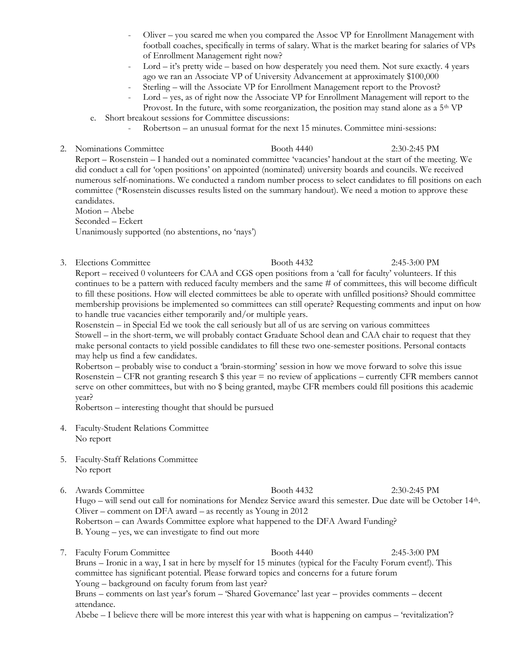- Oliver you scared me when you compared the Assoc VP for Enrollment Management with football coaches, specifically in terms of salary. What is the market bearing for salaries of VPs of Enrollment Management right now?
- Lord it's pretty wide based on how desperately you need them. Not sure exactly. 4 years ago we ran an Associate VP of University Advancement at approximately \$100,000
- Sterling will the Associate VP for Enrollment Management report to the Provost?
- Lord yes, as of right now the Associate VP for Enrollment Management will report to the Provost. In the future, with some reorganization, the position may stand alone as a  $5<sup>th</sup> VP$
- e. Short breakout sessions for Committee discussions:
	- Robertson an unusual format for the next 15 minutes. Committee mini-sessions:
- 2. Nominations Committee Booth 4440 2:30-2:45 PM Report – Rosenstein – I handed out a nominated committee 'vacancies' handout at the start of the meeting. We did conduct a call for 'open positions' on appointed (nominated) university boards and councils. We received numerous self-nominations. We conducted a random number process to select candidates to fill positions on each committee (\*Rosenstein discusses results listed on the summary handout). We need a motion to approve these candidates.

Motion – Abebe Seconded – Eckert Unanimously supported (no abstentions, no 'nays')

3. Elections Committee Booth 4432 2:45-3:00 PM

Report – received 0 volunteers for CAA and CGS open positions from a 'call for faculty' volunteers. If this continues to be a pattern with reduced faculty members and the same # of committees, this will become difficult to fill these positions. How will elected committees be able to operate with unfilled positions? Should committee membership provisions be implemented so committees can still operate? Requesting comments and input on how to handle true vacancies either temporarily and/or multiple years.

Rosenstein – in Special Ed we took the call seriously but all of us are serving on various committees Stowell – in the short-term, we will probably contact Graduate School dean and CAA chair to request that they make personal contacts to yield possible candidates to fill these two one-semester positions. Personal contacts may help us find a few candidates.

Robertson – probably wise to conduct a 'brain-storming' session in how we move forward to solve this issue Rosenstein – CFR not granting research  $\frac{1}{2}$  this year = no review of applications – currently CFR members cannot serve on other committees, but with no \$ being granted, maybe CFR members could fill positions this academic year?

Robertson – interesting thought that should be pursued

- 4. Faculty-Student Relations Committee No report
- 5. Faculty-Staff Relations Committee No report
- 6. Awards Committee Booth 4432 2:30-2:45 PM Hugo – will send out call for nominations for Mendez Service award this semester. Due date will be October 14<sup>th</sup>. Oliver – comment on DFA award – as recently as Young in 2012 Robertson – can Awards Committee explore what happened to the DFA Award Funding? B. Young – yes, we can investigate to find out more
- 7. Faculty Forum Committee Booth 4440 2:45-3:00 PM Bruns – Ironic in a way, I sat in here by myself for 15 minutes (typical for the Faculty Forum event!). This committee has significant potential. Please forward topics and concerns for a future forum Young – background on faculty forum from last year? Bruns – comments on last year's forum – 'Shared Governance' last year – provides comments – decent attendance.

Abebe – I believe there will be more interest this year with what is happening on campus – 'revitalization'?